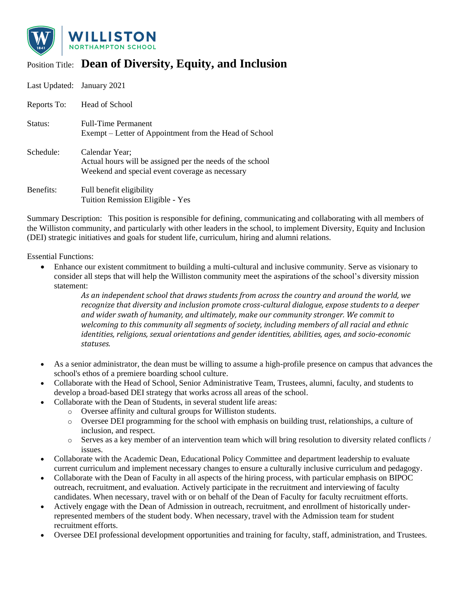

## Position Title: **Dean of Diversity, Equity, and Inclusion**

| Last Updated: January 2021 |                                                                                                                                |
|----------------------------|--------------------------------------------------------------------------------------------------------------------------------|
| Reports To:                | Head of School                                                                                                                 |
| Status:                    | <b>Full-Time Permanent</b><br>Exempt – Letter of Appointment from the Head of School                                           |
| Schedule:                  | Calendar Year;<br>Actual hours will be assigned per the needs of the school<br>Weekend and special event coverage as necessary |
| Benefits:                  | Full benefit eligibility                                                                                                       |

Tuition Remission Eligible - Yes

Summary Description: This position is responsible for defining, communicating and collaborating with all members of the Williston community, and particularly with other leaders in the school, to implement Diversity, Equity and Inclusion (DEI) strategic initiatives and goals for student life, curriculum, hiring and alumni relations.

Essential Functions:

• Enhance our existent commitment to building a multi-cultural and inclusive community. Serve as visionary to consider all steps that will help the Williston community meet the aspirations of the school's diversity mission statement:

> *As an independent school that draws students from across the country and around the world, we recognize that diversity and inclusion promote cross-cultural dialogue, expose students to a deeper and wider swath of humanity, and ultimately, make our community stronger. We commit to welcoming to this community all segments of society, including members of all racial and ethnic identities, religions, sexual orientations and gender identities, abilities, ages, and socio-economic statuses.*

- As a senior administrator, the dean must be willing to assume a high-profile presence on campus that advances the school's ethos of a premiere boarding school culture.
- Collaborate with the Head of School, Senior Administrative Team, Trustees, alumni, faculty, and students to develop a broad-based DEI strategy that works across all areas of the school.
- Collaborate with the Dean of Students, in several student life areas:
	- o Oversee affinity and cultural groups for Williston students.
	- o Oversee DEI programming for the school with emphasis on building trust, relationships, a culture of inclusion, and respect.
	- $\circ$  Serves as a key member of an intervention team which will bring resolution to diversity related conflicts / issues.
- Collaborate with the Academic Dean, Educational Policy Committee and department leadership to evaluate current curriculum and implement necessary changes to ensure a culturally inclusive curriculum and pedagogy.
- Collaborate with the Dean of Faculty in all aspects of the hiring process, with particular emphasis on BIPOC outreach, recruitment, and evaluation. Actively participate in the recruitment and interviewing of faculty candidates. When necessary, travel with or on behalf of the Dean of Faculty for faculty recruitment efforts.
- Actively engage with the Dean of Admission in outreach, recruitment, and enrollment of historically underrepresented members of the student body. When necessary, travel with the Admission team for student recruitment efforts.
- Oversee DEI professional development opportunities and training for faculty, staff, administration, and Trustees.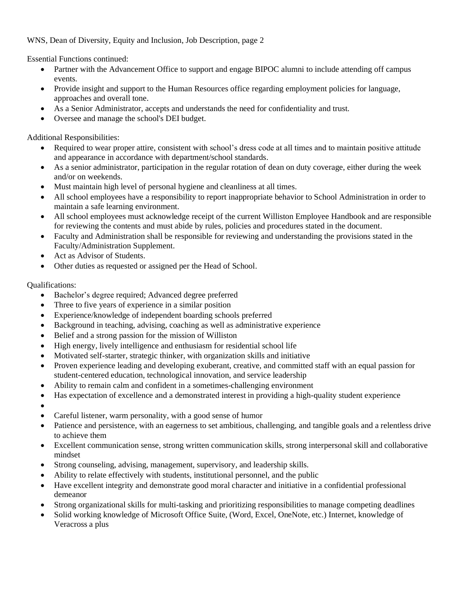## WNS, Dean of Diversity, Equity and Inclusion, Job Description, page 2

Essential Functions continued:

- Partner with the Advancement Office to support and engage BIPOC alumni to include attending off campus events.
- Provide insight and support to the Human Resources office regarding employment policies for language, approaches and overall tone.
- As a Senior Administrator, accepts and understands the need for confidentiality and trust.
- Oversee and manage the school's DEI budget.

Additional Responsibilities:

- Required to wear proper attire, consistent with school's dress code at all times and to maintain positive attitude and appearance in accordance with department/school standards.
- As a senior administrator, participation in the regular rotation of dean on duty coverage, either during the week and/or on weekends.
- Must maintain high level of personal hygiene and cleanliness at all times.
- All school employees have a responsibility to report inappropriate behavior to School Administration in order to maintain a safe learning environment.
- All school employees must acknowledge receipt of the current Williston Employee Handbook and are responsible for reviewing the contents and must abide by rules, policies and procedures stated in the document.
- Faculty and Administration shall be responsible for reviewing and understanding the provisions stated in the Faculty/Administration Supplement.
- Act as Advisor of Students.
- Other duties as requested or assigned per the Head of School.

## Qualifications:

- Bachelor's degree required; Advanced degree preferred
- Three to five years of experience in a similar position
- Experience/knowledge of independent boarding schools preferred
- Background in teaching, advising, coaching as well as administrative experience
- Belief and a strong passion for the mission of Williston
- High energy, lively intelligence and enthusiasm for residential school life
- Motivated self-starter, strategic thinker, with organization skills and initiative
- Proven experience leading and developing exuberant, creative, and committed staff with an equal passion for student-centered education, technological innovation, and service leadership
- Ability to remain calm and confident in a sometimes-challenging environment
- Has expectation of excellence and a demonstrated interest in providing a high-quality student experience
- •
- Careful listener, warm personality, with a good sense of humor
- Patience and persistence, with an eagerness to set ambitious, challenging, and tangible goals and a relentless drive to achieve them
- Excellent communication sense, strong written communication skills, strong interpersonal skill and collaborative mindset
- Strong counseling, advising, management, supervisory, and leadership skills.
- Ability to relate effectively with students, institutional personnel, and the public
- Have excellent integrity and demonstrate good moral character and initiative in a confidential professional demeanor
- Strong organizational skills for multi-tasking and prioritizing responsibilities to manage competing deadlines
- Solid working knowledge of Microsoft Office Suite, (Word, Excel, OneNote, etc.) Internet, knowledge of Veracross a plus